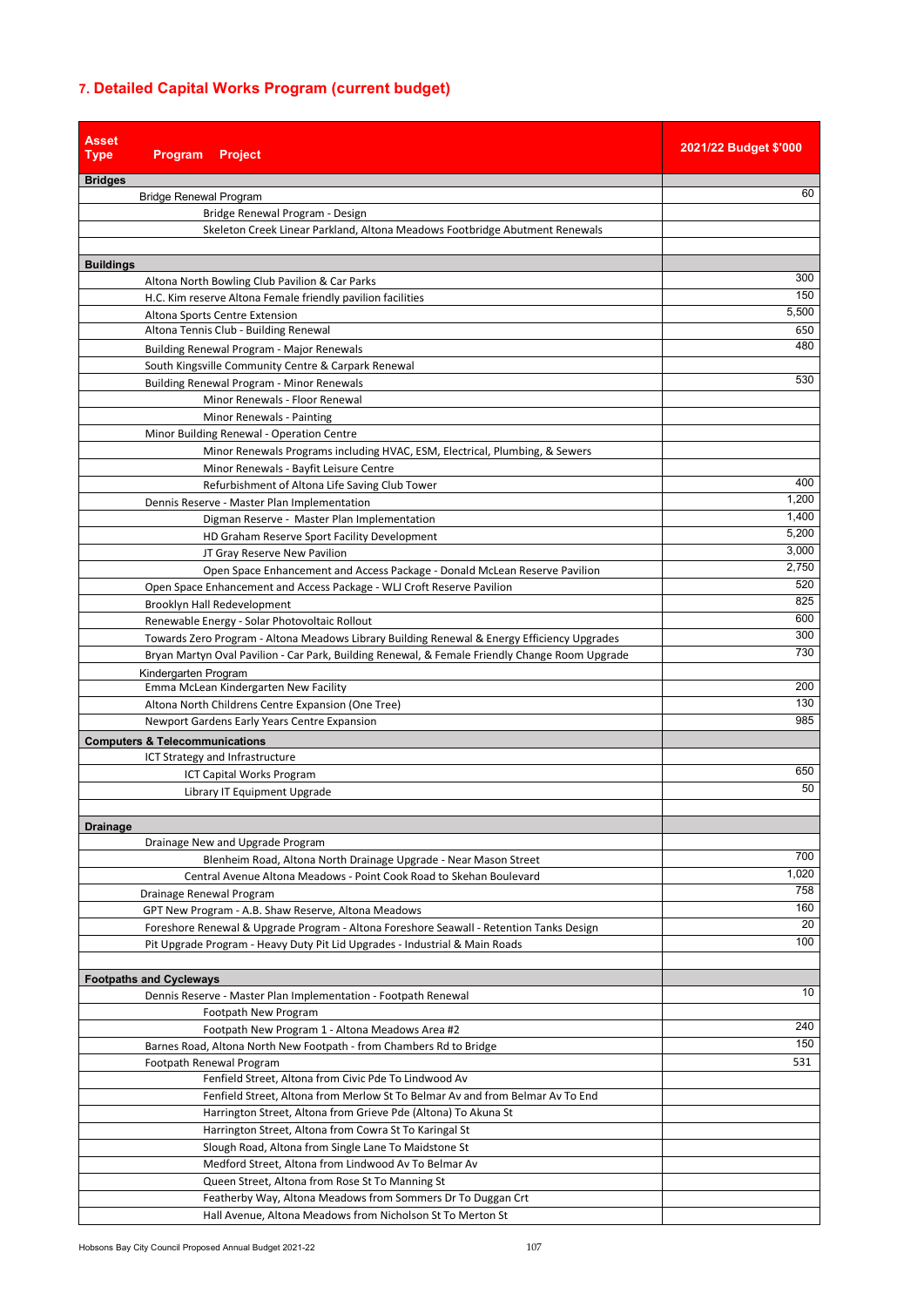## **7. Detailed Capital Works Program (current budget)**

| <b>Asset</b><br><b>Project</b><br><b>Program</b><br><b>Type</b>                                | 2021/22 Budget \$'000 |
|------------------------------------------------------------------------------------------------|-----------------------|
| <b>Bridges</b>                                                                                 |                       |
| <b>Bridge Renewal Program</b>                                                                  | 60                    |
| Bridge Renewal Program - Design                                                                |                       |
| Skeleton Creek Linear Parkland, Altona Meadows Footbridge Abutment Renewals                    |                       |
|                                                                                                |                       |
| <b>Buildings</b>                                                                               |                       |
| Altona North Bowling Club Pavilion & Car Parks                                                 | 300                   |
| H.C. Kim reserve Altona Female friendly pavilion facilities                                    | 150                   |
| Altona Sports Centre Extension                                                                 | 5,500                 |
| Altona Tennis Club - Building Renewal                                                          | 650                   |
| Building Renewal Program - Major Renewals                                                      | 480                   |
| South Kingsville Community Centre & Carpark Renewal                                            |                       |
| <b>Building Renewal Program - Minor Renewals</b>                                               | 530                   |
| Minor Renewals - Floor Renewal                                                                 |                       |
| Minor Renewals - Painting                                                                      |                       |
| Minor Building Renewal - Operation Centre                                                      |                       |
| Minor Renewals Programs including HVAC, ESM, Electrical, Plumbing, & Sewers                    |                       |
| Minor Renewals - Bayfit Leisure Centre                                                         |                       |
| Refurbishment of Altona Life Saving Club Tower                                                 | 400                   |
| Dennis Reserve - Master Plan Implementation                                                    | 1,200                 |
| Digman Reserve - Master Plan Implementation                                                    | 1,400                 |
| HD Graham Reserve Sport Facility Development                                                   | 5,200                 |
| JT Gray Reserve New Pavilion                                                                   | 3,000                 |
| Open Space Enhancement and Access Package - Donald McLean Reserve Pavilion                     | 2,750                 |
| Open Space Enhancement and Access Package - WLJ Croft Reserve Pavilion                         | 520                   |
| Brooklyn Hall Redevelopment                                                                    | 825                   |
| Renewable Energy - Solar Photovoltaic Rollout                                                  | 600                   |
| Towards Zero Program - Altona Meadows Library Building Renewal & Energy Efficiency Upgrades    | 300                   |
| Bryan Martyn Oval Pavilion - Car Park, Building Renewal, & Female Friendly Change Room Upgrade | 730                   |
| Kindergarten Program                                                                           |                       |
| Emma McLean Kindergarten New Facility                                                          | 200                   |
| Altona North Childrens Centre Expansion (One Tree)                                             | 130                   |
| Newport Gardens Early Years Centre Expansion                                                   | 985                   |
|                                                                                                |                       |
| <b>Computers &amp; Telecommunications</b><br>ICT Strategy and Infrastructure                   |                       |
|                                                                                                | 650                   |
| <b>ICT Capital Works Program</b>                                                               | 50                    |
| Library IT Equipment Upgrade                                                                   |                       |
| <b>Drainage</b>                                                                                |                       |
| Drainage New and Upgrade Program                                                               |                       |
| Blenheim Road, Altona North Drainage Upgrade - Near Mason Street                               | 700                   |
| Central Avenue Altona Meadows - Point Cook Road to Skehan Boulevard                            | 1,020                 |
| Drainage Renewal Program                                                                       | 758                   |
| GPT New Program - A.B. Shaw Reserve, Altona Meadows                                            | 160                   |
| Foreshore Renewal & Upgrade Program - Altona Foreshore Seawall - Retention Tanks Design        | 20                    |
| Pit Upgrade Program - Heavy Duty Pit Lid Upgrades - Industrial & Main Roads                    | 100                   |
|                                                                                                |                       |
| <b>Footpaths and Cycleways</b>                                                                 |                       |

| Dennis Reserve - Master Plan Implementation - Footpath Renewal                | 10  |
|-------------------------------------------------------------------------------|-----|
| Footpath New Program                                                          |     |
| Footpath New Program 1 - Altona Meadows Area #2                               | 240 |
| Barnes Road, Altona North New Footpath - from Chambers Rd to Bridge           | 150 |
| Footpath Renewal Program                                                      | 531 |
| Fenfield Street, Altona from Civic Pde To Lindwood Av                         |     |
| Fenfield Street, Altona from Merlow St To Belmar Av and from Belmar Av To End |     |
| Harrington Street, Altona from Grieve Pde (Altona) To Akuna St                |     |
| Harrington Street, Altona from Cowra St To Karingal St                        |     |
| Slough Road, Altona from Single Lane To Maidstone St                          |     |
| Medford Street, Altona from Lindwood Av To Belmar Av                          |     |
| Queen Street, Altona from Rose St To Manning St                               |     |
| Featherby Way, Altona Meadows from Sommers Dr To Duggan Crt                   |     |
| Hall Avenue, Altona Meadows from Nicholson St To Merton St                    |     |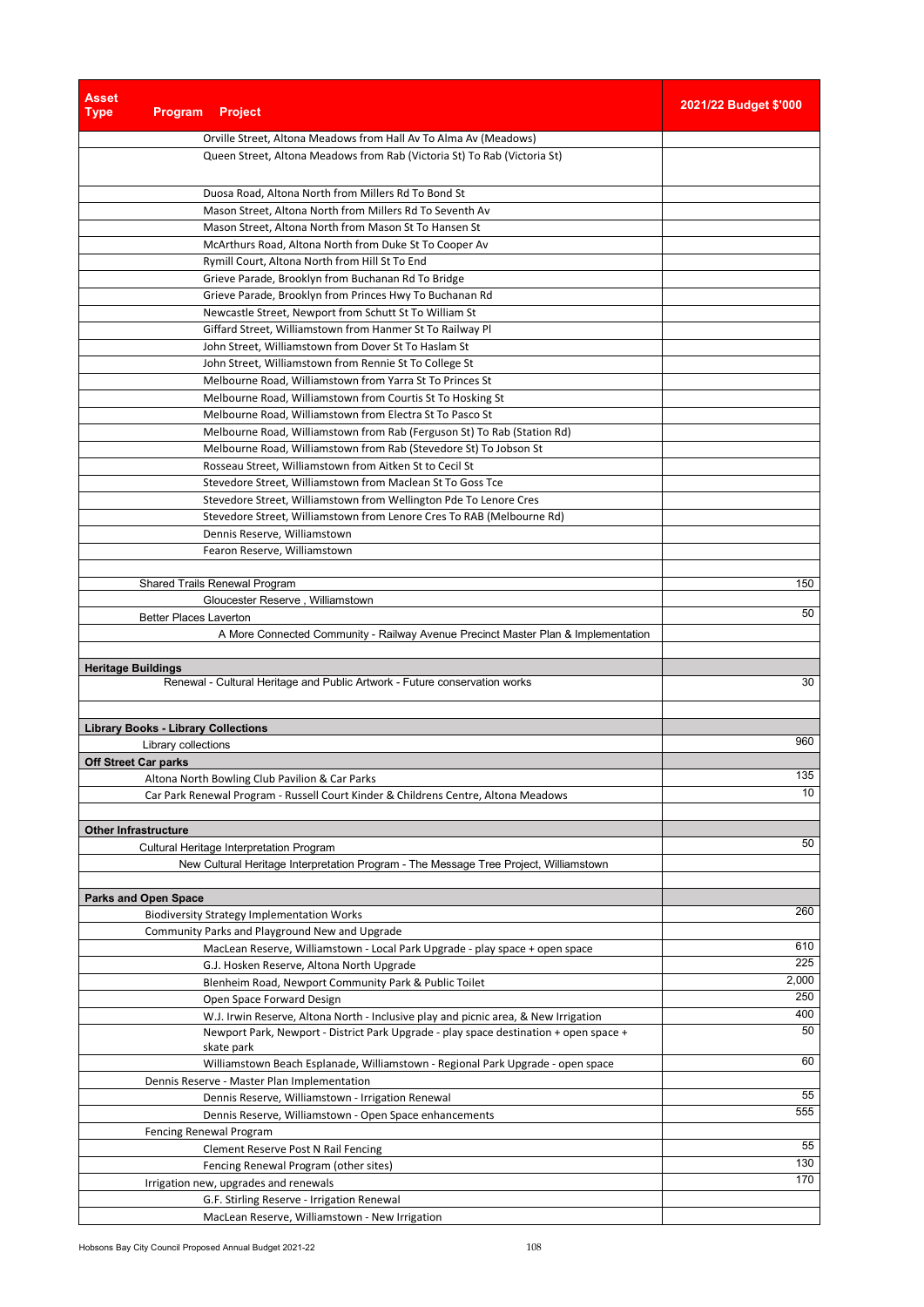| <b>Asset</b><br><b>Project</b><br><b>Type</b><br>Program                              | 2021/22 Budget \$'000 |
|---------------------------------------------------------------------------------------|-----------------------|
| Orville Street, Altona Meadows from Hall Av To Alma Av (Meadows)                      |                       |
| Queen Street, Altona Meadows from Rab (Victoria St) To Rab (Victoria St)              |                       |
| Duosa Road, Altona North from Millers Rd To Bond St                                   |                       |
| Mason Street, Altona North from Millers Rd To Seventh Av                              |                       |
| Mason Street, Altona North from Mason St To Hansen St                                 |                       |
| McArthurs Road, Altona North from Duke St To Cooper Av                                |                       |
| Rymill Court, Altona North from Hill St To End                                        |                       |
| Grieve Parade, Brooklyn from Buchanan Rd To Bridge                                    |                       |
| Grieve Parade, Brooklyn from Princes Hwy To Buchanan Rd                               |                       |
| Newcastle Street, Newport from Schutt St To William St                                |                       |
| Giffard Street, Williamstown from Hanmer St To Railway Pl                             |                       |
| John Street, Williamstown from Dover St To Haslam St                                  |                       |
| John Street, Williamstown from Rennie St To College St                                |                       |
| Melbourne Road, Williamstown from Yarra St To Princes St                              |                       |
| Melbourne Road, Williamstown from Courtis St To Hosking St                            |                       |
| Melbourne Road, Williamstown from Electra St To Pasco St                              |                       |
| Melbourne Road, Williamstown from Rab (Ferguson St) To Rab (Station Rd)               |                       |
| Melbourne Road, Williamstown from Rab (Stevedore St) To Jobson St                     |                       |
| Rosseau Street, Williamstown from Aitken St to Cecil St                               |                       |
| Stevedore Street, Williamstown from Maclean St To Goss Tce                            |                       |
| Stevedore Street, Williamstown from Wellington Pde To Lenore Cres                     |                       |
| Stevedore Street, Williamstown from Lenore Cres To RAB (Melbourne Rd)                 |                       |
| Dennis Reserve, Williamstown                                                          |                       |
| Fearon Reserve, Williamstown                                                          |                       |
| Shared Trails Renewal Program                                                         | 150                   |
| Gloucester Reserve, Williamstown                                                      |                       |
| <b>Better Places Laverton</b>                                                         | 50                    |
| A More Connected Community - Railway Avenue Precinct Master Plan & Implementation     |                       |
|                                                                                       |                       |
| <b>Heritage Buildings</b>                                                             |                       |
| Renewal - Cultural Heritage and Public Artwork - Future conservation works            | 30                    |
|                                                                                       |                       |
| <b>Library Books - Library Collections</b>                                            |                       |
| Library collections                                                                   | 960                   |
| <b>Off Street Car parks</b>                                                           |                       |
| Altona North Bowling Club Pavilion & Car Parks                                        | 135                   |
| Car Park Renewal Program - Russell Court Kinder & Childrens Centre, Altona Meadows    | 10                    |
| <b>Other Infrastructure</b>                                                           |                       |
|                                                                                       | 50                    |
| Cultural Heritage Interpretation Program                                              |                       |
| New Cultural Heritage Interpretation Program - The Message Tree Project, Williamstown |                       |
| <b>Parks and Open Space</b>                                                           |                       |
| <b>Biodiversity Strategy Implementation Works</b>                                     | 260                   |
| Community Parks and Playground New and Upgrade                                        |                       |
| MacLean Reserve, Williamstown - Local Park Upgrade - play space + open space          | 610                   |
| G.J. Hosken Reserve, Altona North Upgrade                                             | 225                   |
| Blenheim Road, Newport Community Park & Public Toilet                                 | 2,000                 |

| Open Space Forward Design                                                                           | 250 |
|-----------------------------------------------------------------------------------------------------|-----|
| W.J. Irwin Reserve, Altona North - Inclusive play and picnic area, & New Irrigation                 | 400 |
| Newport Park, Newport - District Park Upgrade - play space destination + open space +<br>skate park | 50  |
| Williamstown Beach Esplanade, Williamstown - Regional Park Upgrade - open space                     | 60  |
| Dennis Reserve - Master Plan Implementation                                                         |     |
| Dennis Reserve, Williamstown - Irrigation Renewal                                                   | 55  |
| Dennis Reserve, Williamstown - Open Space enhancements                                              | 555 |
| Fencing Renewal Program                                                                             |     |
| <b>Clement Reserve Post N Rail Fencing</b>                                                          | 55  |
| Fencing Renewal Program (other sites)                                                               | 130 |
| Irrigation new, upgrades and renewals                                                               | 170 |
| G.F. Stirling Reserve - Irrigation Renewal                                                          |     |
| MacLean Reserve, Williamstown - New Irrigation                                                      |     |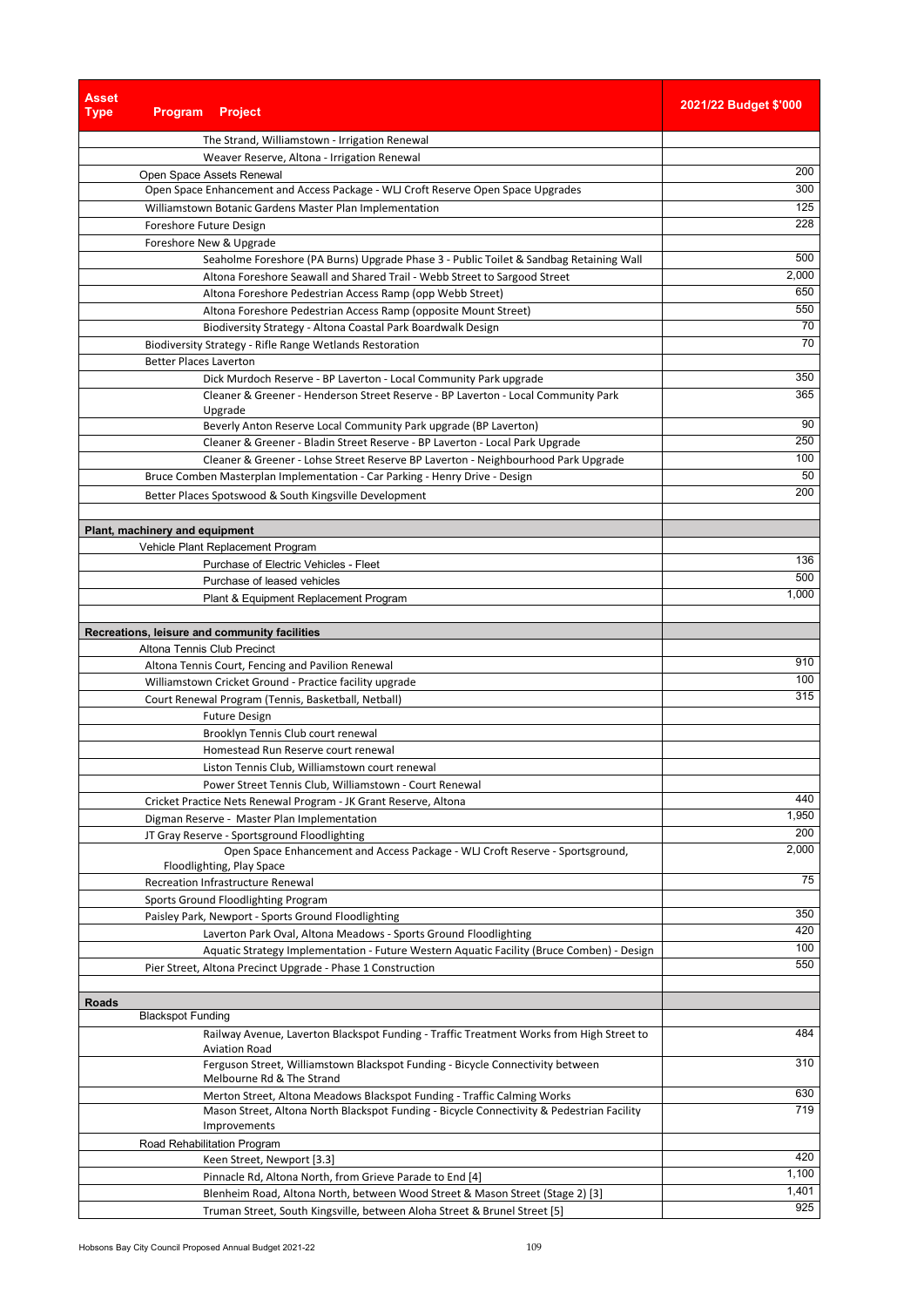| <b>Asset</b><br><b>Type</b><br><b>Project</b><br><b>Program</b>                              | 2021/22 Budget \$'000 |
|----------------------------------------------------------------------------------------------|-----------------------|
| The Strand, Williamstown - Irrigation Renewal                                                |                       |
| Weaver Reserve, Altona - Irrigation Renewal                                                  |                       |
| Open Space Assets Renewal                                                                    | 200                   |
| Open Space Enhancement and Access Package - WLJ Croft Reserve Open Space Upgrades            | 300                   |
| Williamstown Botanic Gardens Master Plan Implementation                                      | 125                   |
| Foreshore Future Design                                                                      | 228                   |
| Foreshore New & Upgrade                                                                      |                       |
| Seaholme Foreshore (PA Burns) Upgrade Phase 3 - Public Toilet & Sandbag Retaining Wall       | 500                   |
| Altona Foreshore Seawall and Shared Trail - Webb Street to Sargood Street                    | 2,000                 |
| Altona Foreshore Pedestrian Access Ramp (opp Webb Street)                                    | 650                   |
| Altona Foreshore Pedestrian Access Ramp (opposite Mount Street)                              | 550                   |
| Biodiversity Strategy - Altona Coastal Park Boardwalk Design                                 | 70                    |
| Biodiversity Strategy - Rifle Range Wetlands Restoration                                     | 70                    |
| <b>Better Places Laverton</b>                                                                |                       |
| Dick Murdoch Reserve - BP Laverton - Local Community Park upgrade                            | 350                   |
| Cleaner & Greener - Henderson Street Reserve - BP Laverton - Local Community Park<br>Upgrade | 365                   |
| Beverly Anton Reserve Local Community Park upgrade (BP Laverton)                             | 90                    |
| Cleaner & Greener - Bladin Street Reserve - BP Laverton - Local Park Upgrade                 | 250                   |
| Cleaner & Greener - Lohse Street Reserve BP Laverton - Neighbourhood Park Upgrade            | 100                   |
| Bruce Comben Masterplan Implementation - Car Parking - Henry Drive - Design                  | 50                    |
| Better Places Spotswood & South Kingsville Development                                       | 200                   |
|                                                                                              |                       |
| Plant, machinery and equipment                                                               |                       |
| Vehicle Plant Replacement Program                                                            |                       |
| Purchase of Electric Vehicles - Fleet                                                        | 136                   |
| Purchase of leased vehicles                                                                  | 500                   |
| Plant & Equipment Replacement Program                                                        | 1,000                 |
|                                                                                              |                       |
| Recreations, leisure and community facilities                                                |                       |
| Altona Tennis Club Precinct                                                                  |                       |
| Altona Tennis Court, Fencing and Pavilion Renewal                                            | 910                   |
| Williamstown Cricket Ground - Practice facility upgrade                                      | 100                   |
| Court Renewal Program (Tennis, Basketball, Netball)                                          | 315                   |
| <b>Future Design</b>                                                                         |                       |
| Brooklyn Tennis Club court renewal                                                           |                       |
| Homestead Run Reserve court renewal                                                          |                       |
| Liston Tennis Club, Williamstown court renewal                                               |                       |
| Power Street Tennis Club, Williamstown - Court Renewal                                       |                       |
| Cricket Practice Nets Renewal Program - JK Grant Reserve, Altona                             | 440                   |
| Digman Reserve - Master Plan Implementation                                                  | 1,950                 |
| JT Gray Reserve - Sportsground Floodlighting                                                 | 200                   |
| Open Space Enhancement and Access Package - WLJ Croft Reserve - Sportsground,                | 2,000                 |
| Floodlighting, Play Space                                                                    |                       |
| <b>Recreation Infrastructure Renewal</b>                                                     | 75                    |
| Sports Ground Floodlighting Program                                                          |                       |
| Paisley Park, Newport - Sports Ground Floodlighting                                          | 350                   |
| Laverton Park Oval, Altona Meadows - Sports Ground Floodlighting                             | 420                   |
| Aquatic Strategy Implementation - Future Western Aquatic Facility (Bruce Comben) - Design    | 100                   |
| Pier Street, Altona Precinct Upgrade - Phase 1 Construction                                  | 550                   |
|                                                                                              |                       |

| <b>Roads</b>                                                                                                     |       |
|------------------------------------------------------------------------------------------------------------------|-------|
| <b>Blackspot Funding</b>                                                                                         |       |
| Railway Avenue, Laverton Blackspot Funding - Traffic Treatment Works from High Street to<br><b>Aviation Road</b> | 484   |
| Ferguson Street, Williamstown Blackspot Funding - Bicycle Connectivity between<br>Melbourne Rd & The Strand      | 310   |
| Merton Street, Altona Meadows Blackspot Funding - Traffic Calming Works                                          | 630   |
| Mason Street, Altona North Blackspot Funding - Bicycle Connectivity & Pedestrian Facility<br>Improvements        | 719   |
| Road Rehabilitation Program                                                                                      |       |
| Keen Street, Newport [3.3]                                                                                       | 420   |
| Pinnacle Rd, Altona North, from Grieve Parade to End [4]                                                         | 1,100 |
| Blenheim Road, Altona North, between Wood Street & Mason Street (Stage 2) [3]                                    | 1,401 |
| Truman Street, South Kingsville, between Aloha Street & Brunel Street [5]                                        | 925   |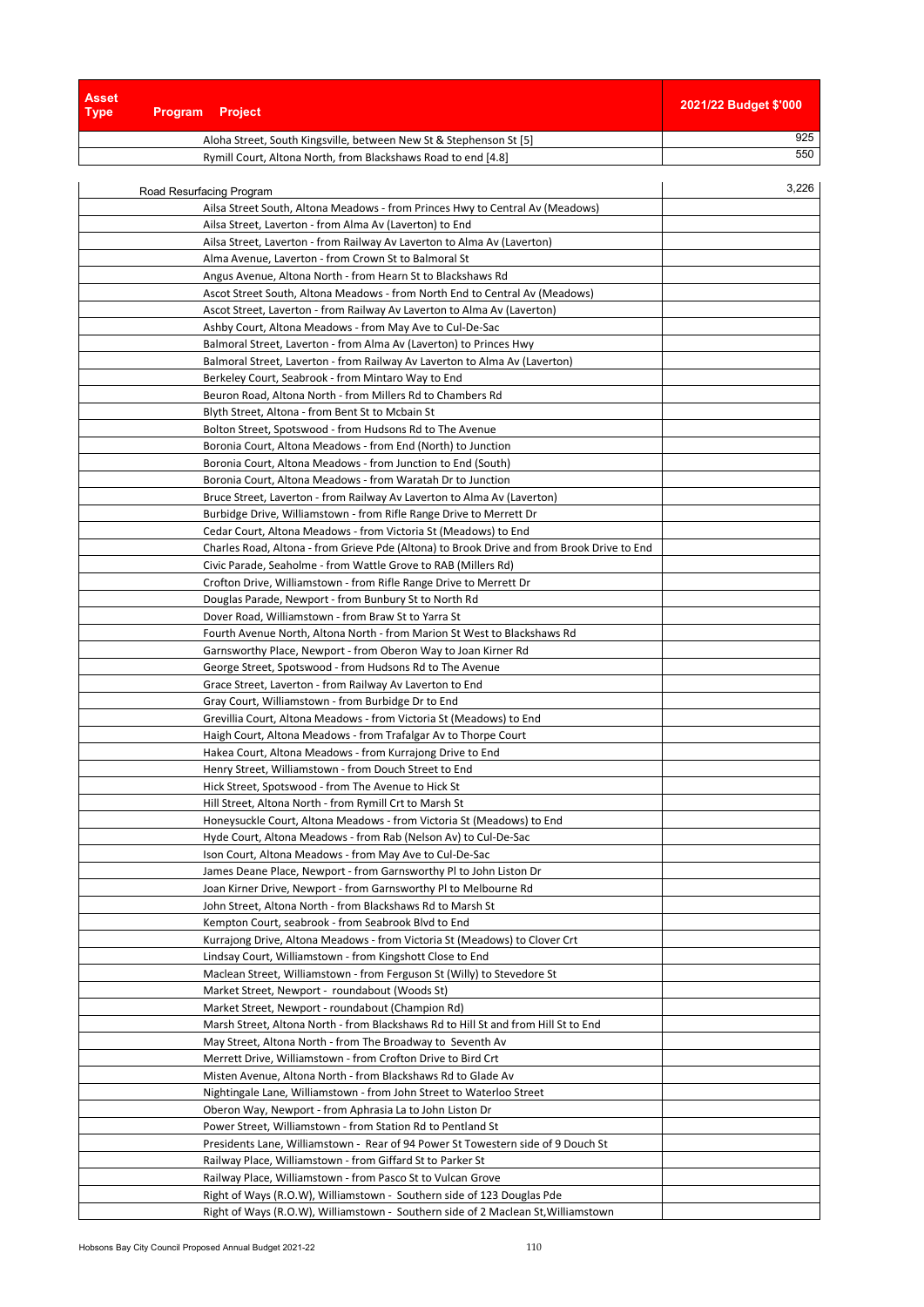| <b>Asset</b><br><b>Type</b><br><b>Project</b><br><b>Program</b>                                                                            | 2021/22 Budget \$'000 |
|--------------------------------------------------------------------------------------------------------------------------------------------|-----------------------|
| Aloha Street, South Kingsville, between New St & Stephenson St [5]                                                                         | 925                   |
| Rymill Court, Altona North, from Blackshaws Road to end [4.8]                                                                              | 550                   |
|                                                                                                                                            | 3,226                 |
| Road Resurfacing Program<br>Ailsa Street South, Altona Meadows - from Princes Hwy to Central Av (Meadows)                                  |                       |
| Ailsa Street, Laverton - from Alma Av (Laverton) to End                                                                                    |                       |
| Ailsa Street, Laverton - from Railway Av Laverton to Alma Av (Laverton)                                                                    |                       |
| Alma Avenue, Laverton - from Crown St to Balmoral St                                                                                       |                       |
| Angus Avenue, Altona North - from Hearn St to Blackshaws Rd                                                                                |                       |
| Ascot Street South, Altona Meadows - from North End to Central Av (Meadows)                                                                |                       |
| Ascot Street, Laverton - from Railway Av Laverton to Alma Av (Laverton)                                                                    |                       |
| Ashby Court, Altona Meadows - from May Ave to Cul-De-Sac<br>Balmoral Street, Laverton - from Alma Av (Laverton) to Princes Hwy             |                       |
| Balmoral Street, Laverton - from Railway Av Laverton to Alma Av (Laverton)                                                                 |                       |
| Berkeley Court, Seabrook - from Mintaro Way to End                                                                                         |                       |
| Beuron Road, Altona North - from Millers Rd to Chambers Rd                                                                                 |                       |
| Blyth Street, Altona - from Bent St to Mcbain St                                                                                           |                       |
| Bolton Street, Spotswood - from Hudsons Rd to The Avenue                                                                                   |                       |
| Boronia Court, Altona Meadows - from End (North) to Junction                                                                               |                       |
| Boronia Court, Altona Meadows - from Junction to End (South)                                                                               |                       |
| Boronia Court, Altona Meadows - from Waratah Dr to Junction<br>Bruce Street, Laverton - from Railway Av Laverton to Alma Av (Laverton)     |                       |
| Burbidge Drive, Williamstown - from Rifle Range Drive to Merrett Dr                                                                        |                       |
| Cedar Court, Altona Meadows - from Victoria St (Meadows) to End                                                                            |                       |
| Charles Road, Altona - from Grieve Pde (Altona) to Brook Drive and from Brook Drive to End                                                 |                       |
| Civic Parade, Seaholme - from Wattle Grove to RAB (Millers Rd)                                                                             |                       |
| Crofton Drive, Williamstown - from Rifle Range Drive to Merrett Dr                                                                         |                       |
| Douglas Parade, Newport - from Bunbury St to North Rd                                                                                      |                       |
| Dover Road, Williamstown - from Braw St to Yarra St                                                                                        |                       |
| Fourth Avenue North, Altona North - from Marion St West to Blackshaws Rd<br>Garnsworthy Place, Newport - from Oberon Way to Joan Kirner Rd |                       |
| George Street, Spotswood - from Hudsons Rd to The Avenue                                                                                   |                       |
| Grace Street, Laverton - from Railway Av Laverton to End                                                                                   |                       |
| Gray Court, Williamstown - from Burbidge Dr to End                                                                                         |                       |
| Grevillia Court, Altona Meadows - from Victoria St (Meadows) to End                                                                        |                       |
| Haigh Court, Altona Meadows - from Trafalgar Av to Thorpe Court                                                                            |                       |
| Hakea Court, Altona Meadows - from Kurrajong Drive to End                                                                                  |                       |
| Henry Street, Williamstown - from Douch Street to End                                                                                      |                       |
| Hick Street, Spotswood - from The Avenue to Hick St<br>Hill Street, Altona North - from Rymill Crt to Marsh St                             |                       |
| Honeysuckle Court, Altona Meadows - from Victoria St (Meadows) to End                                                                      |                       |
| Hyde Court, Altona Meadows - from Rab (Nelson Av) to Cul-De-Sac                                                                            |                       |
| Ison Court, Altona Meadows - from May Ave to Cul-De-Sac                                                                                    |                       |
| James Deane Place, Newport - from Garnsworthy PI to John Liston Dr                                                                         |                       |
| Joan Kirner Drive, Newport - from Garnsworthy PI to Melbourne Rd                                                                           |                       |
| John Street, Altona North - from Blackshaws Rd to Marsh St                                                                                 |                       |
| Kempton Court, seabrook - from Seabrook Blvd to End                                                                                        |                       |
| Kurrajong Drive, Altona Meadows - from Victoria St (Meadows) to Clover Crt<br>Lindsay Court, Williamstown - from Kingshott Close to End    |                       |
| Maclean Street, Williamstown - from Ferguson St (Willy) to Stevedore St                                                                    |                       |
| Market Street, Newport - roundabout (Woods St)                                                                                             |                       |
| Market Street, Newport - roundabout (Champion Rd)                                                                                          |                       |
| Marsh Street, Altona North - from Blackshaws Rd to Hill St and from Hill St to End                                                         |                       |
| May Street, Altona North - from The Broadway to Seventh Av                                                                                 |                       |
| Merrett Drive, Williamstown - from Crofton Drive to Bird Crt                                                                               |                       |
| Misten Avenue, Altona North - from Blackshaws Rd to Glade Av                                                                               |                       |
| Nightingale Lane, Williamstown - from John Street to Waterloo Street                                                                       |                       |
| Oberon Way, Newport - from Aphrasia La to John Liston Dr<br>Power Street, Williamstown - from Station Rd to Pentland St                    |                       |
| Presidents Lane, Williamstown - Rear of 94 Power St Towestern side of 9 Douch St                                                           |                       |
| Railway Place, Williamstown - from Giffard St to Parker St                                                                                 |                       |
| Railway Place, Williamstown - from Pasco St to Vulcan Grove                                                                                |                       |
| Right of Ways (R.O.W), Williamstown - Southern side of 123 Douglas Pde                                                                     |                       |
| Right of Ways (R.O.W), Williamstown - Southern side of 2 Maclean St, Williamstown                                                          |                       |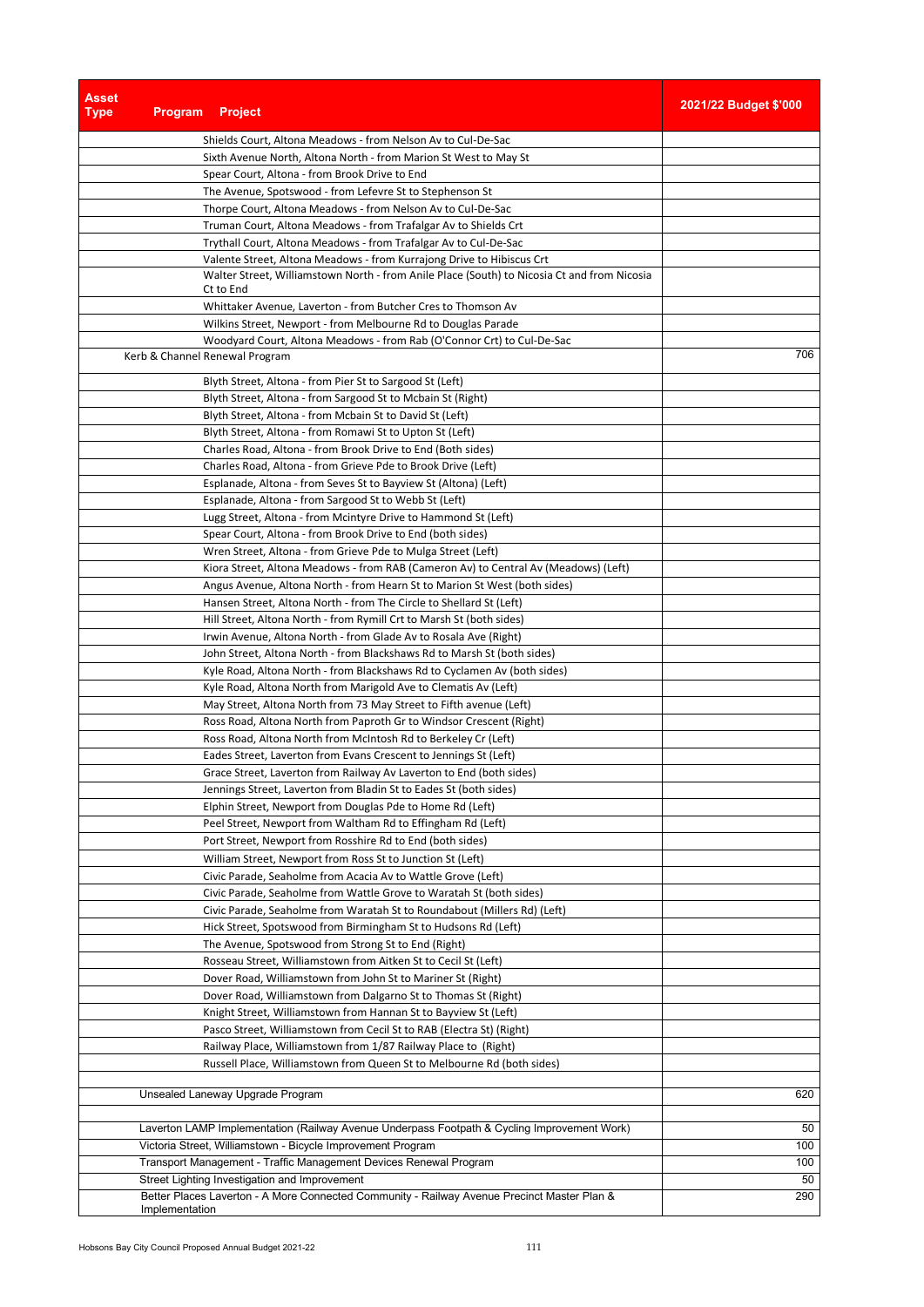| <b>Asset</b><br><b>Type</b> | <b>Program</b> | <b>Project</b>                                                                                                                                                                    | 2021/22 Budget \$'000 |
|-----------------------------|----------------|-----------------------------------------------------------------------------------------------------------------------------------------------------------------------------------|-----------------------|
|                             |                | Shields Court, Altona Meadows - from Nelson Av to Cul-De-Sac                                                                                                                      |                       |
|                             |                | Sixth Avenue North, Altona North - from Marion St West to May St                                                                                                                  |                       |
|                             |                | Spear Court, Altona - from Brook Drive to End                                                                                                                                     |                       |
|                             |                | The Avenue, Spotswood - from Lefevre St to Stephenson St                                                                                                                          |                       |
|                             |                | Thorpe Court, Altona Meadows - from Nelson Av to Cul-De-Sac                                                                                                                       |                       |
|                             |                | Truman Court, Altona Meadows - from Trafalgar Av to Shields Crt                                                                                                                   |                       |
|                             |                | Trythall Court, Altona Meadows - from Trafalgar Av to Cul-De-Sac                                                                                                                  |                       |
|                             |                | Valente Street, Altona Meadows - from Kurrajong Drive to Hibiscus Crt<br>Walter Street, Williamstown North - from Anile Place (South) to Nicosia Ct and from Nicosia<br>Ct to End |                       |
|                             |                | Whittaker Avenue, Laverton - from Butcher Cres to Thomson Av                                                                                                                      |                       |
|                             |                | Wilkins Street, Newport - from Melbourne Rd to Douglas Parade                                                                                                                     |                       |
|                             |                | Woodyard Court, Altona Meadows - from Rab (O'Connor Crt) to Cul-De-Sac                                                                                                            |                       |
|                             |                | Kerb & Channel Renewal Program                                                                                                                                                    | 706                   |
|                             |                | Blyth Street, Altona - from Pier St to Sargood St (Left)                                                                                                                          |                       |
|                             |                | Blyth Street, Altona - from Sargood St to Mcbain St (Right)                                                                                                                       |                       |
|                             |                | Blyth Street, Altona - from Mcbain St to David St (Left)                                                                                                                          |                       |
|                             |                | Blyth Street, Altona - from Romawi St to Upton St (Left)                                                                                                                          |                       |
|                             |                | Charles Road, Altona - from Brook Drive to End (Both sides)                                                                                                                       |                       |
|                             |                | Charles Road, Altona - from Grieve Pde to Brook Drive (Left)<br>Esplanade, Altona - from Seves St to Bayview St (Altona) (Left)                                                   |                       |
|                             |                | Esplanade, Altona - from Sargood St to Webb St (Left)                                                                                                                             |                       |
|                             |                | Lugg Street, Altona - from Mcintyre Drive to Hammond St (Left)                                                                                                                    |                       |
|                             |                | Spear Court, Altona - from Brook Drive to End (both sides)                                                                                                                        |                       |
|                             |                | Wren Street, Altona - from Grieve Pde to Mulga Street (Left)                                                                                                                      |                       |
|                             |                | Kiora Street, Altona Meadows - from RAB (Cameron Av) to Central Av (Meadows) (Left)                                                                                               |                       |
|                             |                | Angus Avenue, Altona North - from Hearn St to Marion St West (both sides)                                                                                                         |                       |
|                             |                | Hansen Street, Altona North - from The Circle to Shellard St (Left)                                                                                                               |                       |
|                             |                | Hill Street, Altona North - from Rymill Crt to Marsh St (both sides)                                                                                                              |                       |
|                             |                | Irwin Avenue, Altona North - from Glade Av to Rosala Ave (Right)                                                                                                                  |                       |
|                             |                | John Street, Altona North - from Blackshaws Rd to Marsh St (both sides)                                                                                                           |                       |
|                             |                | Kyle Road, Altona North - from Blackshaws Rd to Cyclamen Av (both sides)                                                                                                          |                       |
|                             |                | Kyle Road, Altona North from Marigold Ave to Clematis Av (Left)                                                                                                                   |                       |
|                             |                | May Street, Altona North from 73 May Street to Fifth avenue (Left)                                                                                                                |                       |
|                             |                | Ross Road, Altona North from Paproth Gr to Windsor Crescent (Right)                                                                                                               |                       |
|                             |                | Ross Road, Altona North from McIntosh Rd to Berkeley Cr (Left)                                                                                                                    |                       |
|                             |                | Eades Street, Laverton from Evans Crescent to Jennings St (Left)                                                                                                                  |                       |
|                             |                | Grace Street, Laverton from Railway Av Laverton to End (both sides)                                                                                                               |                       |
|                             |                | Jennings Street, Laverton from Bladin St to Eades St (both sides)                                                                                                                 |                       |
|                             |                | Elphin Street, Newport from Douglas Pde to Home Rd (Left)                                                                                                                         |                       |
|                             |                | Peel Street, Newport from Waltham Rd to Effingham Rd (Left)<br>Port Street, Newport from Rosshire Rd to End (both sides)                                                          |                       |
|                             |                |                                                                                                                                                                                   |                       |
|                             |                | William Street, Newport from Ross St to Junction St (Left)                                                                                                                        |                       |
|                             |                | Civic Parade, Seaholme from Acacia Av to Wattle Grove (Left)<br>Civic Parade, Seaholme from Wattle Grove to Waratah St (both sides)                                               |                       |
|                             |                | Civic Parade, Seaholme from Waratah St to Roundabout (Millers Rd) (Left)                                                                                                          |                       |
|                             |                | Hick Street, Spotswood from Birmingham St to Hudsons Rd (Left)                                                                                                                    |                       |
|                             |                | The Avenue, Spotswood from Strong St to End (Right)                                                                                                                               |                       |
|                             |                | Rosseau Street, Williamstown from Aitken St to Cecil St (Left)                                                                                                                    |                       |
|                             |                | Dover Road, Williamstown from John St to Mariner St (Right)                                                                                                                       |                       |
|                             |                | Dover Road, Williamstown from Dalgarno St to Thomas St (Right)                                                                                                                    |                       |
|                             |                | Knight Street, Williamstown from Hannan St to Bayview St (Left)                                                                                                                   |                       |
|                             |                | Pasco Street, Williamstown from Cecil St to RAB (Electra St) (Right)                                                                                                              |                       |
|                             |                | Railway Place, Williamstown from 1/87 Railway Place to (Right)                                                                                                                    |                       |
|                             |                | Russell Place, Williamstown from Queen St to Melbourne Rd (both sides)                                                                                                            |                       |
|                             |                | Unsealed Laneway Upgrade Program                                                                                                                                                  | 620                   |
|                             |                | Laverton LAMP Implementation (Railway Avenue Underpass Footpath & Cycling Improvement Work)                                                                                       | 50                    |
|                             |                | Victoria Street, Williamstown - Bicycle Improvement Program                                                                                                                       | 100                   |
|                             |                | Transport Management - Traffic Management Devices Renewal Program                                                                                                                 | 100                   |
|                             |                | Street Lighting Investigation and Improvement                                                                                                                                     | 50                    |
|                             | Implementation | Better Places Laverton - A More Connected Community - Railway Avenue Precinct Master Plan &                                                                                       | 290                   |

Hobsons Bay City Council Proposed Annual Budget 2021-22 111 11 11 11 11 11 11 11